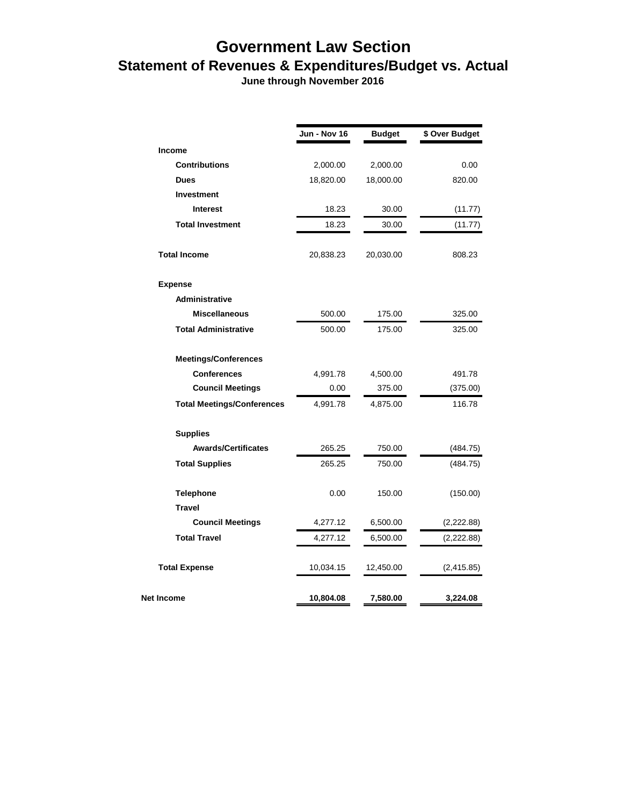## **Government Law Section Statement of Revenues & Expenditures/Budget vs. Actual**

 **June through November 2016**

|                                   | Jun - Nov 16 | <b>Budget</b> | \$ Over Budget |
|-----------------------------------|--------------|---------------|----------------|
| <b>Income</b>                     |              |               |                |
| <b>Contributions</b>              | 2,000.00     | 2,000.00      | 0.00           |
| <b>Dues</b>                       | 18,820.00    | 18,000.00     | 820.00         |
| <b>Investment</b>                 |              |               |                |
| <b>Interest</b>                   | 18.23        | 30.00         | (11.77)        |
| <b>Total Investment</b>           | 18.23        | 30.00         | (11.77)        |
| <b>Total Income</b>               | 20,838.23    | 20,030.00     | 808.23         |
| <b>Expense</b>                    |              |               |                |
| Administrative                    |              |               |                |
| <b>Miscellaneous</b>              | 500.00       | 175.00        | 325.00         |
| <b>Total Administrative</b>       | 500.00       | 175.00        | 325.00         |
| <b>Meetings/Conferences</b>       |              |               |                |
| <b>Conferences</b>                | 4,991.78     | 4,500.00      | 491.78         |
| <b>Council Meetings</b>           | 0.00         | 375.00        | (375.00)       |
| <b>Total Meetings/Conferences</b> | 4,991.78     | 4,875.00      | 116.78         |
| <b>Supplies</b>                   |              |               |                |
| <b>Awards/Certificates</b>        | 265.25       | 750.00        | (484.75)       |
| <b>Total Supplies</b>             | 265.25       | 750.00        | (484.75)       |
| <b>Telephone</b>                  | 0.00         | 150.00        | (150.00)       |
| <b>Travel</b>                     |              |               |                |
| <b>Council Meetings</b>           | 4,277.12     | 6,500.00      | (2,222.88)     |
| <b>Total Travel</b>               | 4,277.12     | 6,500.00      | (2,222.88)     |
| <b>Total Expense</b>              | 10,034.15    | 12,450.00     | (2,415.85)     |
| Net Income                        | 10,804.08    | 7,580.00      | 3,224.08       |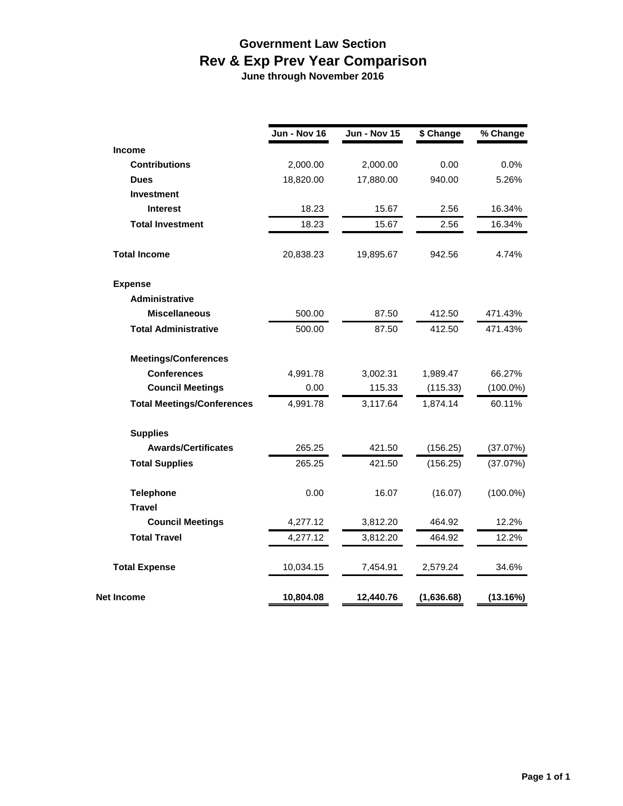## **Government Law Section Rev & Exp Prev Year Comparison**

 **June through November 2016**

|                                   | Jun - Nov 16 | Jun - Nov 15 | \$ Change  | % Change    |
|-----------------------------------|--------------|--------------|------------|-------------|
| <b>Income</b>                     |              |              |            |             |
| <b>Contributions</b>              | 2,000.00     | 2,000.00     | 0.00       | 0.0%        |
| <b>Dues</b>                       | 18,820.00    | 17,880.00    | 940.00     | 5.26%       |
| <b>Investment</b>                 |              |              |            |             |
| <b>Interest</b>                   | 18.23        | 15.67        | 2.56       | 16.34%      |
| <b>Total Investment</b>           | 18.23        | 15.67        | 2.56       | 16.34%      |
| <b>Total Income</b>               | 20,838.23    | 19,895.67    | 942.56     | 4.74%       |
| <b>Expense</b>                    |              |              |            |             |
| Administrative                    |              |              |            |             |
| <b>Miscellaneous</b>              | 500.00       | 87.50        | 412.50     | 471.43%     |
| <b>Total Administrative</b>       | 500.00       | 87.50        | 412.50     | 471.43%     |
| <b>Meetings/Conferences</b>       |              |              |            |             |
| <b>Conferences</b>                | 4,991.78     | 3,002.31     | 1,989.47   | 66.27%      |
| <b>Council Meetings</b>           | 0.00         | 115.33       | (115.33)   | $(100.0\%)$ |
| <b>Total Meetings/Conferences</b> | 4,991.78     | 3,117.64     | 1,874.14   | 60.11%      |
| <b>Supplies</b>                   |              |              |            |             |
| <b>Awards/Certificates</b>        | 265.25       | 421.50       | (156.25)   | (37.07%)    |
| <b>Total Supplies</b>             | 265.25       | 421.50       | (156.25)   | (37.07%)    |
| <b>Telephone</b>                  | 0.00         | 16.07        | (16.07)    | $(100.0\%)$ |
| <b>Travel</b>                     |              |              |            |             |
| <b>Council Meetings</b>           | 4,277.12     | 3,812.20     | 464.92     | 12.2%       |
| <b>Total Travel</b>               | 4,277.12     | 3,812.20     | 464.92     | 12.2%       |
| <b>Total Expense</b>              | 10,034.15    | 7,454.91     | 2,579.24   | 34.6%       |
| Net Income                        | 10,804.08    | 12,440.76    | (1,636.68) | (13.16%)    |